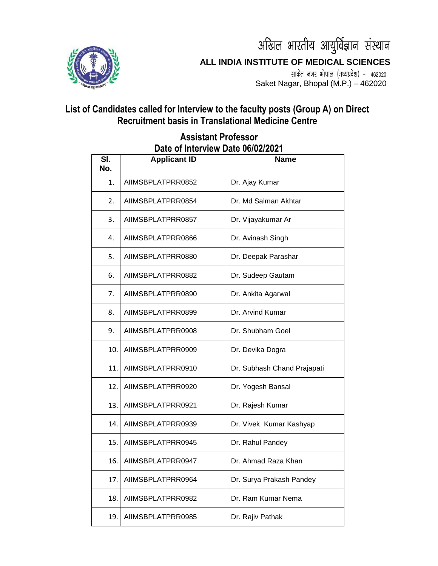

अखिल भारतीय आयुर्विज्ञान संस्थान **ALL INDIA INSTITUTE OF MEDICAL SCIENCES**

> साकेत नगर भोपाल (मध्यप्रदेश) - 462020 Saket Nagar, Bhopal (M.P.) – 462020

## **List of Candidates called for Interview to the faculty posts (Group A) on Direct Recruitment basis in Translational Medicine Centre**

| SI.<br>No. | <b>Applicant ID</b> | Name                        |
|------------|---------------------|-----------------------------|
| 1.         | AIIMSBPLATPRR0852   | Dr. Ajay Kumar              |
| 2.         | AIIMSBPLATPRR0854   | Dr. Md Salman Akhtar        |
| 3.         | AIIMSBPLATPRR0857   | Dr. Vijayakumar Ar          |
| 4.         | AIIMSBPLATPRR0866   | Dr. Avinash Singh           |
| 5.         | AIIMSBPLATPRR0880   | Dr. Deepak Parashar         |
| 6.         | AIIMSBPLATPRR0882   | Dr. Sudeep Gautam           |
| 7.         | AIIMSBPLATPRR0890   | Dr. Ankita Agarwal          |
| 8.         | AIIMSBPLATPRR0899   | Dr. Arvind Kumar            |
| 9.         | AIIMSBPLATPRR0908   | Dr. Shubham Goel            |
| 10.        | AIIMSBPLATPRR0909   | Dr. Devika Dogra            |
| 11.        | AIIMSBPLATPRR0910   | Dr. Subhash Chand Prajapati |
| 12.        | AIIMSBPLATPRR0920   | Dr. Yogesh Bansal           |
| 13.        | AIIMSBPLATPRR0921   | Dr. Rajesh Kumar            |
| 14.        | AIIMSBPLATPRR0939   | Dr. Vivek Kumar Kashyap     |
| 15.        | AIIMSBPLATPRR0945   | Dr. Rahul Pandey            |
| 16.        | AIIMSBPLATPRR0947   | Dr. Ahmad Raza Khan         |
| 17.        | AIIMSBPLATPRR0964   | Dr. Surya Prakash Pandey    |
| 18.        | AIIMSBPLATPRR0982   | Dr. Ram Kumar Nema          |
| 19.        | AIIMSBPLATPRR0985   | Dr. Rajiv Pathak            |

## **Assistant Professor Date of Interview Date 06/02/2021**